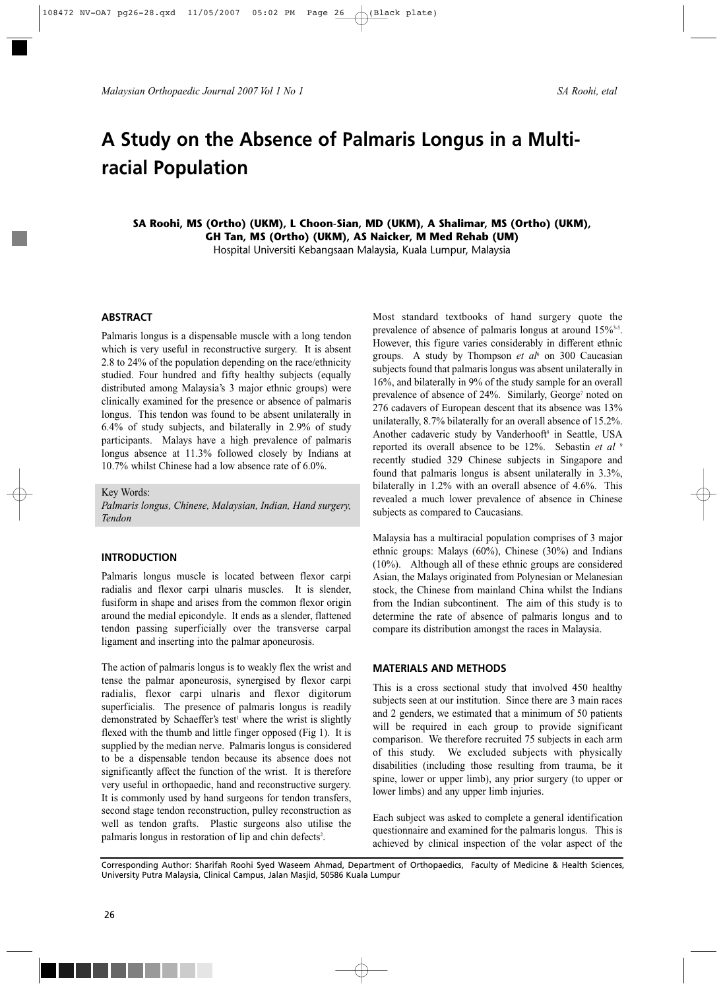*Malaysian Orthopaedic Journal 2007 Vol 1 No 1 SA Roohi, etal*

# **A Study on the Absence of Palmaris Longus in a Multiracial Population**

**SA Roohi, MS (Ortho) (UKM), L Choon-Sian, MD (UKM), A Shalimar, MS (Ortho) (UKM), GH Tan, MS (Ortho) (UKM), AS Naicker, M Med Rehab (UM)** Hospital Universiti Kebangsaan Malaysia, Kuala Lumpur, Malaysia

## **ABSTRACT**

Palmaris longus is a dispensable muscle with a long tendon which is very useful in reconstructive surgery. It is absent 2.8 to 24% of the population depending on the race/ethnicity studied. Four hundred and fifty healthy subjects (equally distributed among Malaysia's 3 major ethnic groups) were clinically examined for the presence or absence of palmaris longus. This tendon was found to be absent unilaterally in 6.4% of study subjects, and bilaterally in 2.9% of study participants. Malays have a high prevalence of palmaris longus absence at 11.3% followed closely by Indians at 10.7% whilst Chinese had a low absence rate of 6.0%.

## Key Words:

*Palmaris longus, Chinese, Malaysian, Indian, Hand surgery, Tendon*

## **INTRODUCTION**

Palmaris longus muscle is located between flexor carpi radialis and flexor carpi ulnaris muscles. It is slender, fusiform in shape and arises from the common flexor origin around the medial epicondyle. It ends as a slender, flattened tendon passing superficially over the transverse carpal ligament and inserting into the palmar aponeurosis.

The action of palmaris longus is to weakly flex the wrist and tense the palmar aponeurosis, synergised by flexor carpi radialis, flexor carpi ulnaris and flexor digitorum superficialis. The presence of palmaris longus is readily demonstrated by Schaeffer's test<sup>1</sup> where the wrist is slightly flexed with the thumb and little finger opposed (Fig 1). It is supplied by the median nerve. Palmaris longus is considered to be a dispensable tendon because its absence does not significantly affect the function of the wrist. It is therefore very useful in orthopaedic, hand and reconstructive surgery. It is commonly used by hand surgeons for tendon transfers, second stage tendon reconstruction, pulley reconstruction as well as tendon grafts. Plastic surgeons also utilise the palmaris longus in restoration of lip and chin defects<sup>2</sup>.

Most standard textbooks of hand surgery quote the prevalence of absence of palmaris longus at around 15%<sup>3-5</sup>. However, this figure varies considerably in different ethnic groups. A study by Thompson *et al*<sup>6</sup> on 300 Caucasian subjects found that palmaris longus was absent unilaterally in 16%, and bilaterally in 9% of the study sample for an overall prevalence of absence of 24%. Similarly, George<sup>7</sup> noted on 276 cadavers of European descent that its absence was 13% unilaterally, 8.7% bilaterally for an overall absence of 15.2%. Another cadaveric study by Vanderhooft<sup>8</sup> in Seattle, USA reported its overall absence to be 12%. Sebastin *et al* <sup>9</sup> recently studied 329 Chinese subjects in Singapore and found that palmaris longus is absent unilaterally in 3.3%, bilaterally in 1.2% with an overall absence of 4.6%. This revealed a much lower prevalence of absence in Chinese subjects as compared to Caucasians.

Malaysia has a multiracial population comprises of 3 major ethnic groups: Malays (60%), Chinese (30%) and Indians (10%). Although all of these ethnic groups are considered Asian, the Malays originated from Polynesian or Melanesian stock, the Chinese from mainland China whilst the Indians from the Indian subcontinent. The aim of this study is to determine the rate of absence of palmaris longus and to compare its distribution amongst the races in Malaysia.

#### **MATERIALS AND METHODS**

This is a cross sectional study that involved 450 healthy subjects seen at our institution. Since there are 3 main races and 2 genders, we estimated that a minimum of 50 patients will be required in each group to provide significant comparison. We therefore recruited 75 subjects in each arm of this study. We excluded subjects with physically disabilities (including those resulting from trauma, be it spine, lower or upper limb), any prior surgery (to upper or lower limbs) and any upper limb injuries.

Each subject was asked to complete a general identification questionnaire and examined for the palmaris longus. This is achieved by clinical inspection of the volar aspect of the

Corresponding Author: Sharifah Roohi Syed Waseem Ahmad, Department of Orthopaedics, Faculty of Medicine & Health Sciences, University Putra Malaysia, Clinical Campus, Jalan Masjid, 50586 Kuala Lumpur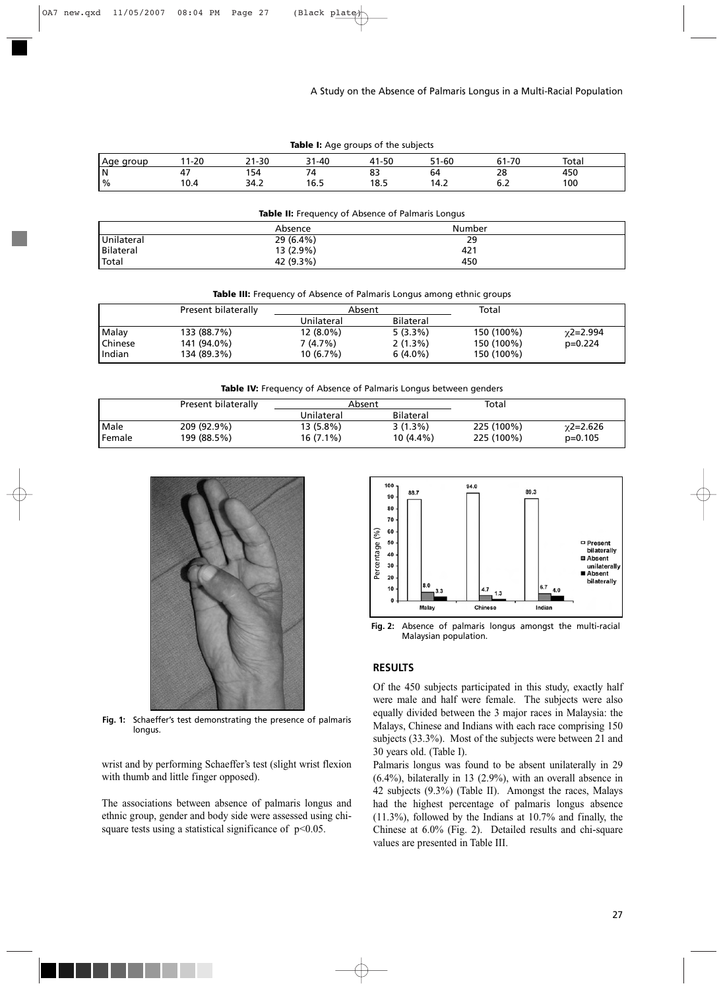A Study on the Absence of Palmaris Longus in a Multi-Racial Population

| <b>Table I:</b> Age groups of the subjects |       |       |       |       |       |       |       |  |
|--------------------------------------------|-------|-------|-------|-------|-------|-------|-------|--|
| Aqe group                                  | 11-20 | 21-30 | 31-40 | 41-50 | 51-60 | 61-70 | Total |  |
| ١N                                         | 47    | 154   | 74    | 83    | 64    | 28    | 450   |  |
| $\frac{1}{6}$                              | 10.4  | 34.2  | 16.5  | 18.5  | 14.2  |       | 100   |  |

| <b>Table II:</b> Frequency of Absence of Palmaris Longus |             |        |  |  |  |  |
|----------------------------------------------------------|-------------|--------|--|--|--|--|
|                                                          | Absence     | Number |  |  |  |  |
| Unilateral                                               | $29(6.4\%)$ | 29     |  |  |  |  |
| Bilateral                                                | 13 (2.9%)   | 421    |  |  |  |  |
| Total                                                    | 42 (9.3%)   | 450    |  |  |  |  |

|  |  | Table III: Frequency of Absence of Palmaris Longus among ethnic groups |  |
|--|--|------------------------------------------------------------------------|--|
|  |  |                                                                        |  |

|         | Present bilaterally | Absent      |            | Total      |           |
|---------|---------------------|-------------|------------|------------|-----------|
|         |                     | Unilateral  | Bilateral  |            |           |
| Malay   | 133 (88.7%)         | $12(8.0\%)$ | $5(3.3\%)$ | 150 (100%) | γ2=2.994  |
| Chinese | 141 (94.0%)         | 7 (4.7%)    | 2(1.3%)    | 150 (100%) | $p=0.224$ |
| Indian  | 134 (89.3%)         | 10(6.7%)    | $6(4.0\%)$ | 150 (100%) |           |

|  | Table IV: Frequency of Absence of Palmaris Longus between genders |  |  |
|--|-------------------------------------------------------------------|--|--|
|  |                                                                   |  |  |

|        | Present bilaterally | Absent      |                  | Total      |               |
|--------|---------------------|-------------|------------------|------------|---------------|
|        |                     | Unilateral  | <b>Bilateral</b> |            |               |
| Male   | 209 (92.9%)         | 13 (5.8%)   | $3(1.3\%)$       | 225 (100%) | $x^2 = 2.626$ |
| Female | 199 (88.5%)         | $16(7.1\%)$ | 10 (4.4%)        | 225 (100%) | $p=0.105$     |



**Fig. 1:** Schaeffer's test demonstrating the presence of palmaris longus.

wrist and by performing Schaeffer's test (slight wrist flexion with thumb and little finger opposed).

The associations between absence of palmaris longus and ethnic group, gender and body side were assessed using chisquare tests using a statistical significance of  $p<0.05$ .



**Fig. 2:** Absence of palmaris longus amongst the multi-racial Malaysian population.

# **RESULTS**

Of the 450 subjects participated in this study, exactly half were male and half were female. The subjects were also equally divided between the 3 major races in Malaysia: the Malays, Chinese and Indians with each race comprising 150 subjects (33.3%). Most of the subjects were between 21 and 30 years old. (Table I).

Palmaris longus was found to be absent unilaterally in 29 (6.4%), bilaterally in 13 (2.9%), with an overall absence in 42 subjects (9.3%) (Table II). Amongst the races, Malays had the highest percentage of palmaris longus absence (11.3%), followed by the Indians at 10.7% and finally, the Chinese at 6.0% (Fig. 2). Detailed results and chi-square values are presented in Table III.